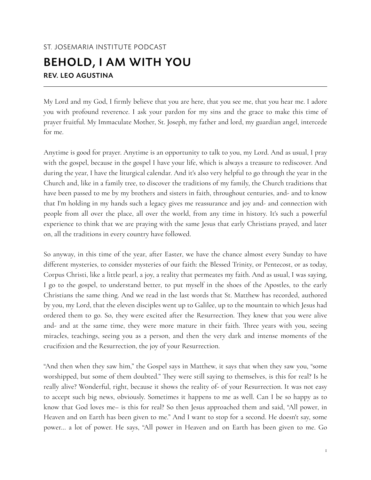## ST. JOSEMARIA INSTITUTE PODCAST BEHOLD, I AM WITH YOU REV. LEO AGUSTINA

My Lord and my God, I firmly believe that you are here, that you see me, that you hear me. I adore you with profound reverence. I ask your pardon for my sins and the grace to make this time of prayer fruitful. My Immaculate Mother, St. Joseph, my father and lord, my guardian angel, intercede for me.

Anytime is good for prayer. Anytime is an opportunity to talk to you, my Lord. And as usual, I pray with the gospel, because in the gospel I have your life, which is always a treasure to rediscover. And during the year, I have the liturgical calendar. And it's also very helpful to go through the year in the Church and, like in a family tree, to discover the traditions of my family, the Church traditions that have been passed to me by my brothers and sisters in faith, throughout centuries, and- and to know that I'm holding in my hands such a legacy gives me reassurance and joy and- and connection with people from all over the place, all over the world, from any time in history. It's such a powerful experience to think that we are praying with the same Jesus that early Christians prayed, and later on, all the traditions in every country have followed.

So anyway, in this time of the year, after Easter, we have the chance almost every Sunday to have different mysteries, to consider mysteries of our faith: the Blessed Trinity, or Pentecost, or as today, Corpus Christi, like a little pearl, a joy, a reality that permeates my faith. And as usual, I was saying, I go to the gospel, to understand better, to put myself in the shoes of the Apostles, to the early Christians the same thing. And we read in the last words that St. Matthew has recorded, authored by you, my Lord, that the eleven disciples went up to Galilee, up to the mountain to which Jesus had ordered them to go. So, they were excited after the Resurrection. They knew that you were alive and- and at the same time, they were more mature in their faith. Three years with you, seeing miracles, teachings, seeing you as a person, and then the very dark and intense moments of the crucifixion and the Resurrection, the joy of your Resurrection.

"And then when they saw him," the Gospel says in Matthew, it says that when they saw you, "some worshipped, but some of them doubted." They were still saying to themselves, is this for real? Is he really alive? Wonderful, right, because it shows the reality of- of your Resurrection. It was not easy to accept such big news, obviously. Sometimes it happens to me as well. Can I be so happy as to know that God loves me– is this for real? So then Jesus approached them and said, "All power, in Heaven and on Earth has been given to me." And I want to stop for a second. He doesn't say, some power… a lot of power. He says, "All power in Heaven and on Earth has been given to me. Go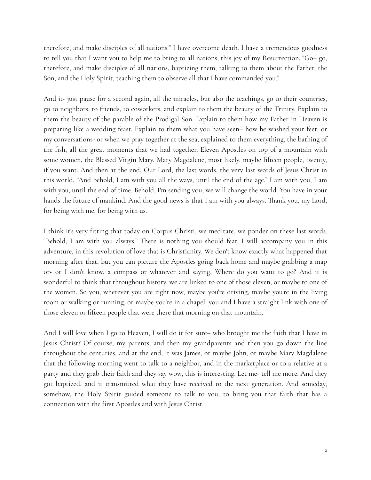therefore, and make disciples of all nations." I have overcome death. I have a tremendous goodness to tell you that I want you to help me to bring to all nations, this joy of my Resurrection. "Go– go, therefore, and make disciples of all nations, baptizing them, talking to them about the Father, the Son, and the Holy Spirit, teaching them to observe all that I have commanded you."

And it- just pause for a second again, all the miracles, but also the teachings, go to their countries, go to neighbors, to friends, to coworkers, and explain to them the beauty of the Trinity. Explain to them the beauty of the parable of the Prodigal Son. Explain to them how my Father in Heaven is preparing like a wedding feast. Explain to them what you have seen– how he washed your feet, or my conversations- or when we pray together at the sea, explained to them everything, the bathing of the fish, all the great moments that we had together. Eleven Apostles on top of a mountain with some women, the Blessed Virgin Mary, Mary Magdalene, most likely, maybe fifteen people, twenty, if you want. And then at the end, Our Lord, the last words, the very last words of Jesus Christ in this world, "And behold, I am with you all the ways, until the end of the age." I am with you, I am with you, until the end of time. Behold, I'm sending you, we will change the world. You have in your hands the future of mankind. And the good news is that I am with you always. Thank you, my Lord, for being with me, for being with us.

I think it's very fitting that today on Corpus Christi, we meditate, we ponder on these last words: "Behold, I am with you always." There is nothing you should fear. I will accompany you in this adventure, in this revolution of love that is Christianity. We don't know exactly what happened that morning after that, but you can picture the Apostles going back home and maybe grabbing a map or- or I don't know, a compass or whatever and saying, Where do you want to go? And it is wonderful to think that throughout history, we are linked to one of those eleven, or maybe to one of the women. So you, wherever you are right now, maybe you're driving, maybe you're in the living room or walking or running, or maybe you're in a chapel, you and I have a straight link with one of those eleven or fifteen people that were there that morning on that mountain.

And I will love when I go to Heaven, I will do it for sure– who brought me the faith that I have in Jesus Christ? Of course, my parents, and then my grandparents and then you go down the line throughout the centuries, and at the end, it was James, or maybe John, or maybe Mary Magdalene that the following morning went to talk to a neighbor, and in the marketplace or to a relative at a party and they grab their faith and they say wow, this is interesting. Let me- tell me more. And they got baptized, and it transmitted what they have received to the next generation. And someday, somehow, the Holy Spirit guided someone to talk to you, to bring you that faith that has a connection with the first Apostles and with Jesus Christ.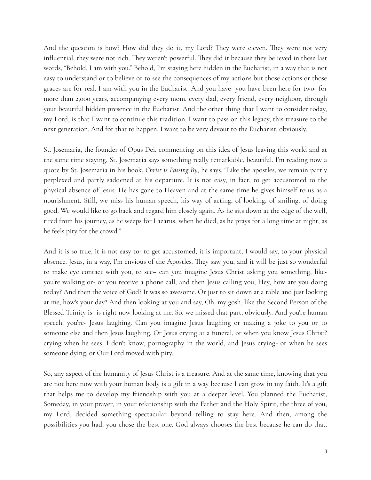And the question is how? How did they do it, my Lord? They were eleven. They were not very influential, they were not rich. They weren't powerful. They did it because they believed in these last words, "Behold, I am with you." Behold, I'm staying here hidden in the Eucharist, in a way that is not easy to understand or to believe or to see the consequences of my actions but those actions or those graces are for real. I am with you in the Eucharist. And you have- you have been here for two- for more than 2,000 years, accompanying every mom, every dad, every friend, every neighbor, through your beautiful hidden presence in the Eucharist. And the other thing that I want to consider today, my Lord, is that I want to continue this tradition. I want to pass on this legacy, this treasure to the next generation. And for that to happen, I want to be very devout to the Eucharist, obviously.

St. Josemaria, the founder of Opus Dei, commenting on this idea of Jesus leaving this world and at the same time staying, St. Josemaria says something really remarkable, beautiful. I'm reading now a quote by St. Josemaria in his book, *Christ is Passing By*, he says, "Like the apostles, we remain partly perplexed and partly saddened at his departure. It is not easy, in fact, to get accustomed to the physical absence of Jesus. He has gone to Heaven and at the same time he gives himself to us as a nourishment. Still, we miss his human speech, his way of acting, of looking, of smiling, of doing good. We would like to go back and regard him closely again. As he sits down at the edge of the well, tired from his journey, as he weeps for Lazarus, when he died, as he prays for a long time at night, as he feels pity for the crowd."

And it is so true, it is not easy to- to get accustomed, it is important, I would say, to your physical absence. Jesus, in a way, I'm envious of the Apostles. They saw you, and it will be just so wonderful to make eye contact with you, to see– can you imagine Jesus Christ asking you something, likeyou're walking or- or you receive a phone call, and then Jesus calling you, Hey, how are you doing today? And then the voice of God? It was so awesome. Or just to sit down at a table and just looking at me, how's your day? And then looking at you and say, Oh, my gosh, like the Second Person of the Blessed Trinity is- is right now looking at me. So, we missed that part, obviously. And you're human speech, you're- Jesus laughing. Can you imagine Jesus laughing or making a joke to you or to someone else and then Jesus laughing. Or Jesus crying at a funeral, or when you know Jesus Christ? crying when he sees, I don't know, pornography in the world, and Jesus crying- or when he sees someone dying, or Our Lord moved with pity.

So, any aspect of the humanity of Jesus Christ is a treasure. And at the same time, knowing that you are not here now with your human body is a gift in a way because I can grow in my faith. It's a gift that helps me to develop my friendship with you at a deeper level. You planned the Eucharist, Someday, in your prayer, in your relationship with the Father and the Holy Spirit, the three of you, my Lord, decided something spectacular beyond telling to stay here. And then, among the possibilities you had, you chose the best one. God always chooses the best because he can do that.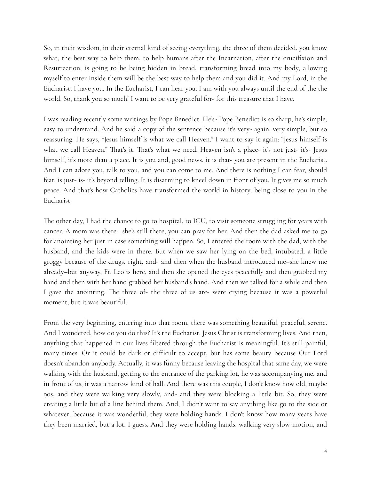So, in their wisdom, in their eternal kind of seeing everything, the three of them decided, you know what, the best way to help them, to help humans after the Incarnation, after the crucifixion and Resurrection, is going to be being hidden in bread, transforming bread into my body, allowing myself to enter inside them will be the best way to help them and you did it. And my Lord, in the Eucharist, I have you. In the Eucharist, I can hear you. I am with you always until the end of the the world. So, thank you so much! I want to be very grateful for- for this treasure that I have.

I was reading recently some writings by Pope Benedict. He's- Pope Benedict is so sharp, he's simple, easy to understand. And he said a copy of the sentence because it's very- again, very simple, but so reassuring. He says, "Jesus himself is what we call Heaven." I want to say it again: "Jesus himself is what we call Heaven." That's it. That's what we need. Heaven isn't a place- it's not just- it's- Jesus himself, it's more than a place. It is you and, good news, it is that- you are present in the Eucharist. And I can adore you, talk to you, and you can come to me. And there is nothing I can fear, should fear, is just- is- it's beyond telling. It is disarming to kneel down in front of you. It gives me so much peace. And that's how Catholics have transformed the world in history, being close to you in the Eucharist.

The other day, I had the chance to go to hospital, to ICU, to visit someone struggling for years with cancer. A mom was there– she's still there, you can pray for her. And then the dad asked me to go for anointing her just in case something will happen. So, I entered the room with the dad, with the husband, and the kids were in there. But when we saw her lying on the bed, intubated, a little groggy because of the drugs, right, and- and then when the husband introduced me–she knew me already–but anyway, Fr. Leo is here, and then she opened the eyes peacefully and then grabbed my hand and then with her hand grabbed her husband's hand. And then we talked for a while and then I gave the anointing. The three of- the three of us are- were crying because it was a powerful moment, but it was beautiful.

From the very beginning, entering into that room, there was something beautiful, peaceful, serene. And I wondered, how do you do this? It's the Eucharist. Jesus Christ is transforming lives. And then, anything that happened in our lives filtered through the Eucharist is meaningful. It's still painful, many times. Or it could be dark or difficult to accept, but has some beauty because Our Lord doesn't abandon anybody. Actually, it was funny because leaving the hospital that same day, we were walking with the husband, getting to the entrance of the parking lot, he was accompanying me, and in front of us, it was a narrow kind of hall. And there was this couple, I don't know how old, maybe 90s, and they were walking very slowly, and- and they were blocking a little bit. So, they were creating a little bit of a line behind them. And, I didn't want to say anything like go to the side or whatever, because it was wonderful, they were holding hands. I don't know how many years have they been married, but a lot, I guess. And they were holding hands, walking very slow-motion, and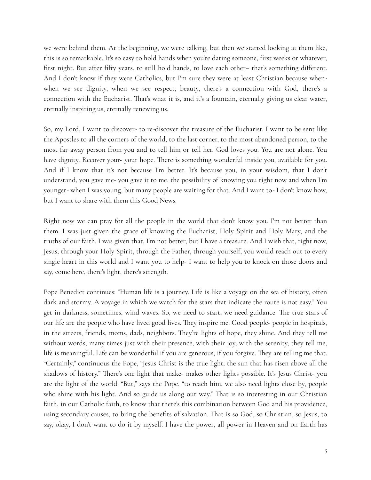we were behind them. At the beginning, we were talking, but then we started looking at them like, this is so remarkable. It's so easy to hold hands when you're dating someone, first weeks or whatever, first night. But after fifty years, to still hold hands, to love each other– that's something different. And I don't know if they were Catholics, but I'm sure they were at least Christian because whenwhen we see dignity, when we see respect, beauty, there's a connection with God, there's a connection with the Eucharist. That's what it is, and it's a fountain, eternally giving us clear water, eternally inspiring us, eternally renewing us.

So, my Lord, I want to discover- to re-discover the treasure of the Eucharist. I want to be sent like the Apostles to all the corners of the world, to the last corner, to the most abandoned person, to the most far away person from you and to tell him or tell her, God loves you. You are not alone. You have dignity. Recover your- your hope. There is something wonderful inside you, available for you. And if I know that it's not because I'm better. It's because you, in your wisdom, that I don't understand, you gave me- you gave it to me, the possibility of knowing you right now and when I'm younger- when I was young, but many people are waiting for that. And I want to- I don't know how, but I want to share with them this Good News.

Right now we can pray for all the people in the world that don't know you. I'm not better than them. I was just given the grace of knowing the Eucharist, Holy Spirit and Holy Mary, and the truths of our faith. I was given that, I'm not better, but I have a treasure. And I wish that, right now, Jesus, through your Holy Spirit, through the Father, through yourself, you would reach out to every single heart in this world and I want you to help- I want to help you to knock on those doors and say, come here, there's light, there's strength.

Pope Benedict continues: "Human life is a journey. Life is like a voyage on the sea of history, often dark and stormy. A voyage in which we watch for the stars that indicate the route is not easy." You get in darkness, sometimes, wind waves. So, we need to start, we need guidance. The true stars of our life are the people who have lived good lives. They inspire me. Good people- people in hospitals, in the streets, friends, moms, dads, neighbors. They're lights of hope, they shine. And they tell me without words, many times just with their presence, with their joy, with the serenity, they tell me, life is meaningful. Life can be wonderful if you are generous, if you forgive. They are telling me that. "Certainly," continuous the Pope, "Jesus Christ is the true light, the sun that has risen above all the shadows of history." There's one light that make- makes other lights possible. It's Jesus Christ- you are the light of the world. "But," says the Pope, "to reach him, we also need lights close by, people who shine with his light. And so guide us along our way." That is so interesting in our Christian faith, in our Catholic faith, to know that there's this combination between God and his providence, using secondary causes, to bring the benefits of salvation. That is so God, so Christian, so Jesus, to say, okay, I don't want to do it by myself. I have the power, all power in Heaven and on Earth has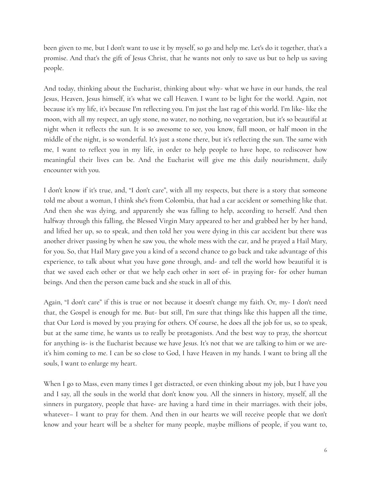been given to me, but I don't want to use it by myself, so go and help me. Let's do it together, that's a promise. And that's the gift of Jesus Christ, that he wants not only to save us but to help us saving people.

And today, thinking about the Eucharist, thinking about why- what we have in our hands, the real Jesus, Heaven, Jesus himself, it's what we call Heaven. I want to be light for the world. Again, not because it's my life, it's because I'm reflecting you. I'm just the last rag of this world. I'm like- like the moon, with all my respect, an ugly stone, no water, no nothing, no vegetation, but it's so beautiful at night when it reflects the sun. It is so awesome to see, you know, full moon, or half moon in the middle of the night, is so wonderful. It's just a stone there, but it's reflecting the sun. The same with me, I want to reflect you in my life, in order to help people to have hope, to rediscover how meaningful their lives can be. And the Eucharist will give me this daily nourishment, daily encounter with you.

I don't know if it's true, and, "I don't care", with all my respects, but there is a story that someone told me about a woman, I think she's from Colombia, that had a car accident or something like that. And then she was dying, and apparently she was falling to help, according to herself. And then halfway through this falling, the Blessed Virgin Mary appeared to her and grabbed her by her hand, and lifted her up, so to speak, and then told her you were dying in this car accident but there was another driver passing by when he saw you, the whole mess with the car, and he prayed a Hail Mary, for you. So, that Hail Mary gave you a kind of a second chance to go back and take advantage of this experience, to talk about what you have gone through, and- and tell the world how beautiful it is that we saved each other or that we help each other in sort of- in praying for- for other human beings. And then the person came back and she stuck in all of this.

Again, "I don't care" if this is true or not because it doesn't change my faith. Or, my- I don't need that, the Gospel is enough for me. But- but still, I'm sure that things like this happen all the time, that Our Lord is moved by you praying for others. Of course, he does all the job for us, so to speak, but at the same time, he wants us to really be protagonists. And the best way to pray, the shortcut for anything is- is the Eucharist because we have Jesus. It's not that we are talking to him or we areit's him coming to me. I can be so close to God, I have Heaven in my hands. I want to bring all the souls, I want to enlarge my heart.

When I go to Mass, even many times I get distracted, or even thinking about my job, but I have you and I say, all the souls in the world that don't know you. All the sinners in history, myself, all the sinners in purgatory, people that have- are having a hard time in their marriages. with their jobs, whatever– I want to pray for them. And then in our hearts we will receive people that we don't know and your heart will be a shelter for many people, maybe millions of people, if you want to,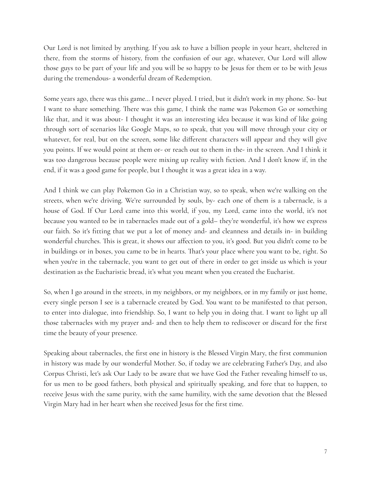Our Lord is not limited by anything. If you ask to have a billion people in your heart, sheltered in there, from the storms of history, from the confusion of our age, whatever, Our Lord will allow those guys to be part of your life and you will be so happy to be Jesus for them or to be with Jesus during the tremendous- a wonderful dream of Redemption.

Some years ago, there was this game… I never played. I tried, but it didn't work in my phone. So- but I want to share something. There was this game, I think the name was Pokemon Go or something like that, and it was about- I thought it was an interesting idea because it was kind of like going through sort of scenarios like Google Maps, so to speak, that you will move through your city or whatever, for real, but on the screen, some like different characters will appear and they will give you points. If we would point at them or- or reach out to them in the- in the screen. And I think it was too dangerous because people were mixing up reality with fiction. And I don't know if, in the end, if it was a good game for people, but I thought it was a great idea in a way.

And I think we can play Pokemon Go in a Christian way, so to speak, when we're walking on the streets, when we're driving. We're surrounded by souls, by- each one of them is a tabernacle, is a house of God. If Our Lord came into this world, if you, my Lord, came into the world, it's not because you wanted to be in tabernacles made out of a gold– they're wonderful, it's how we express our faith. So it's fitting that we put a lot of money and- and cleanness and details in- in building wonderful churches. This is great, it shows our affection to you, it's good. But you didn't come to be in buildings or in boxes, you came to be in hearts. That's your place where you want to be, right. So when you're in the tabernacle, you want to get out of there in order to get inside us which is your destination as the Eucharistic bread, it's what you meant when you created the Eucharist.

So, when I go around in the streets, in my neighbors, or my neighbors, or in my family or just home, every single person I see is a tabernacle created by God. You want to be manifested to that person, to enter into dialogue, into friendship. So, I want to help you in doing that. I want to light up all those tabernacles with my prayer and- and then to help them to rediscover or discard for the first time the beauty of your presence.

Speaking about tabernacles, the first one in history is the Blessed Virgin Mary, the first communion in history was made by our wonderful Mother. So, if today we are celebrating Father's Day, and also Corpus Christi, let's ask Our Lady to be aware that we have God the Father revealing himself to us, for us men to be good fathers, both physical and spiritually speaking, and fore that to happen, to receive Jesus with the same purity, with the same humility, with the same devotion that the Blessed Virgin Mary had in her heart when she received Jesus for the first time.